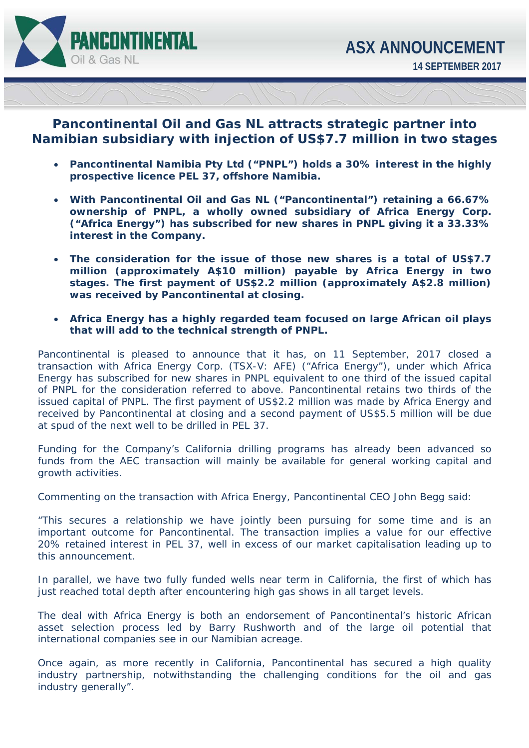

## **Pancontinental Oil and Gas NL attracts strategic partner into Namibian subsidiary with injection of US\$7.7 million in two stages**

- **Pancontinental Namibia Pty Ltd ("PNPL") holds a 30% interest in the highly prospective licence PEL 37, offshore Namibia.**
- **With Pancontinental Oil and Gas NL ("Pancontinental") retaining a 66.67% ownership of PNPL, a wholly owned subsidiary of Africa Energy Corp. ("Africa Energy") has subscribed for new shares in PNPL giving it a 33.33% interest in the Company.**
- **The consideration for the issue of those new shares is a total of US\$7.7 million (approximately A\$10 million) payable by Africa Energy in two stages. The first payment of US\$2.2 million (approximately A\$2.8 million) was received by Pancontinental at closing.**
- **Africa Energy has a highly regarded team focused on large African oil plays that will add to the technical strength of PNPL.**

Pancontinental is pleased to announce that it has, on 11 September, 2017 closed a transaction with Africa Energy Corp. (TSX-V: AFE) ("Africa Energy"), under which Africa Energy has subscribed for new shares in PNPL equivalent to one third of the issued capital of PNPL for the consideration referred to above. Pancontinental retains two thirds of the issued capital of PNPL. The first payment of US\$2.2 million was made by Africa Energy and received by Pancontinental at closing and a second payment of US\$5.5 million will be due at spud of the next well to be drilled in PEL 37.

Funding for the Company's California drilling programs has already been advanced so funds from the AEC transaction will mainly be available for general working capital and growth activities.

Commenting on the transaction with Africa Energy, Pancontinental CEO John Begg said:

*"This secures a relationship we have jointly been pursuing for some time and is an important outcome for Pancontinental. The transaction implies a value for our effective 20% retained interest in PEL 37, well in excess of our market capitalisation leading up to this announcement.* 

*In parallel, we have two fully funded wells near term in California, the first of which has just reached total depth after encountering high gas shows in all target levels.* 

*The deal with Africa Energy is both an endorsement of Pancontinental's historic African*  asset selection process led by Barry Rushworth and of the large oil potential that *international companies see in our Namibian acreage.* 

*Once again, as more recently in California, Pancontinental has secured a high quality industry partnership, notwithstanding the challenging conditions for the oil and gas industry generally".*